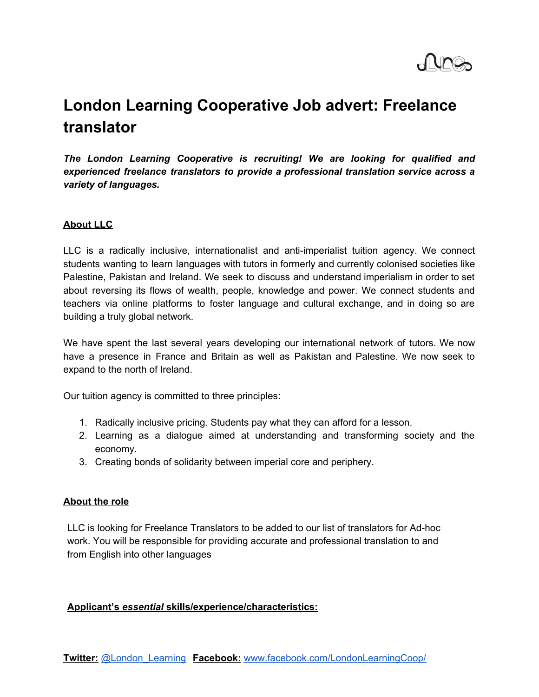

# **London Learning Cooperative Job advert: Freelance translator**

*The London Learning Cooperative is recruiting! We are looking for qualified and experienced freelance translators to provide a professional translation service across a variety of languages.*

## **About LLC**

LLC is a radically inclusive, internationalist and anti-imperialist tuition agency. We connect students wanting to learn languages with tutors in formerly and currently colonised societies like Palestine, Pakistan and Ireland. We seek to discuss and understand imperialism in order to set about reversing its flows of wealth, people, knowledge and power. We connect students and teachers via online platforms to foster language and cultural exchange, and in doing so are building a truly global network.

We have spent the last several years developing our international network of tutors. We now have a presence in France and Britain as well as Pakistan and Palestine. We now seek to expand to the north of Ireland.

Our tuition agency is committed to three principles:

- 1. Radically inclusive pricing. Students pay what they can afford for a lesson.
- 2. Learning as a dialogue aimed at understanding and transforming society and the economy.
- 3. Creating bonds of solidarity between imperial core and periphery.

## **About the role**

LLC is looking for Freelance Translators to be added to our list of translators for Ad-hoc work. You will be responsible for providing accurate and professional translation to and from English into other languages

## **Applicant's** *essential* **skills/experience/characteristics:**